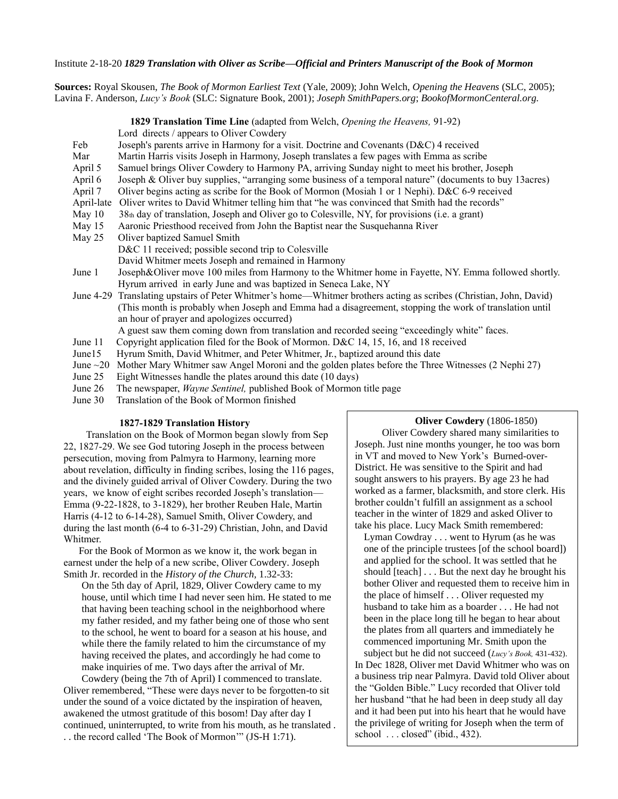#### Institute 2-18-20 *1829 Translation with Oliver as Scribe—Official and Printers Manuscript of the Book of Mormon*

**Sources:** Royal Skousen, *The Book of Mormon Earliest Text* (Yale, 2009); John Welch, *Opening the Heavens* (SLC, 2005); Lavina F. Anderson, *Lucy's Book* (SLC: Signature Book, 2001); *Joseph SmithPapers.org*; *BookofMormonCenteral.org.*

**1829 Translation Time Line** (adapted from Welch, *Opening the Heavens,* 91-92)

- Lord directs / appears to Oliver Cowdery
- Feb Joseph's parents arrive in Harmony for a visit. Doctrine and Covenants (D&C) 4 received
- Mar Martin Harris visits Joseph in Harmony, Joseph translates a few pages with Emma as scribe
- April 5 Samuel brings Oliver Cowdery to Harmony PA, arriving Sunday night to meet his brother, Joseph
- April 6 Joseph & Oliver buy supplies, "arranging some business of a temporal nature" (documents to buy 13acres)
- April 7 Oliver begins acting as scribe for the Book of Mormon (Mosiah 1 or 1 Nephi). D&C 6-9 received
- April-late Oliver writes to David Whitmer telling him that "he was convinced that Smith had the records"
- May 10 38th day of translation, Joseph and Oliver go to Colesville, NY, for provisions (i.e. a grant)
- May 15 Aaronic Priesthood received from John the Baptist near the Susquehanna River
- May 25 Oliver baptized Samuel Smith D&C 11 received; possible second trip to Colesville David Whitmer meets Joseph and remained in Harmony
- June 1 Joseph&Oliver move 100 miles from Harmony to the Whitmer home in Fayette, NY. Emma followed shortly. Hyrum arrived in early June and was baptized in Seneca Lake, NY
- June 4-29 Translating upstairs of Peter Whitmer's home—Whitmer brothers acting as scribes (Christian, John, David) (This month is probably when Joseph and Emma had a disagreement, stopping the work of translation until an hour of prayer and apologizes occurred)
- A guest saw them coming down from translation and recorded seeing "exceedingly white" faces.
- June 11 Copyright application filed for the Book of Mormon. D&C 14, 15, 16, and 18 received
- June15 Hyrum Smith, David Whitmer, and Peter Whitmer, Jr., baptized around this date
- June ~20 Mother Mary Whitmer saw Angel Moroni and the golden plates before the Three Witnesses (2 Nephi 27)
- June 25 Eight Witnesses handle the plates around this date (10 days)
- June 26 The newspaper, *Wayne Sentinel,* published Book of Mormon title page
- June 30 Translation of the Book of Mormon finished

#### **1827-1829 Translation History**

 Translation on the Book of Mormon began slowly from Sep 22, 1827-29. We see God tutoring Joseph in the process between persecution, moving from Palmyra to Harmony, learning more about revelation, difficulty in finding scribes, losing the 116 pages, and the divinely guided arrival of Oliver Cowdery. During the two years, we know of eight scribes recorded Joseph's translation— Emma (9-22-1828, to 3-1829), her brother Reuben Hale, Martin Harris (4-12 to 6-14-28), Samuel Smith, Oliver Cowdery, and during the last month (6-4 to 6-31-29) Christian, John, and David Whitmer.

 For the Book of Mormon as we know it, the work began in earnest under the help of a new scribe, Oliver Cowdery. Joseph Smith Jr. recorded in the *History of the Church,* 1.32-33:

On the 5th day of April, 1829, Oliver Cowdery came to my house, until which time I had never seen him. He stated to me that having been teaching school in the neighborhood where my father resided, and my father being one of those who sent to the school, he went to board for a season at his house, and while there the family related to him the circumstance of my having received the plates, and accordingly he had come to make inquiries of me. Two days after the arrival of Mr. Cowdery (being the 7th of April) I commenced to translate.

Oliver remembered, "These were days never to be forgotten-to sit under the sound of a voice dictated by the inspiration of heaven, awakened the utmost gratitude of this bosom! Day after day I continued, uninterrupted, to write from his mouth, as he translated . . . the record called 'The Book of Mormon'" (JS-H 1:71).

#### **Oliver Cowdery** (1806-1850)

Oliver Cowdery shared many similarities to Joseph. Just nine months younger, he too was born in VT and moved to New York's Burned-over-District. He was sensitive to the Spirit and had sought answers to his prayers. By age 23 he had worked as a farmer, blacksmith, and store clerk. His brother couldn't fulfill an assignment as a school teacher in the winter of 1829 and asked Oliver to take his place. Lucy Mack Smith remembered:

Lyman Cowdray . . . went to Hyrum (as he was one of the principle trustees [of the school board]) and applied for the school. It was settled that he should [teach] . . . But the next day he brought his bother Oliver and requested them to receive him in the place of himself . . . Oliver requested my husband to take him as a boarder . . . He had not been in the place long till he began to hear about the plates from all quarters and immediately he commenced importuning Mr. Smith upon the

subject but he did not succeed (*Lucy's Book,* 431-432). In Dec 1828, Oliver met David Whitmer who was on a business trip near Palmyra. David told Oliver about the "Golden Bible." Lucy recorded that Oliver told her husband "that he had been in deep study all day and it had been put into his heart that he would have the privilege of writing for Joseph when the term of school  $\ldots$  closed" (ibid., 432).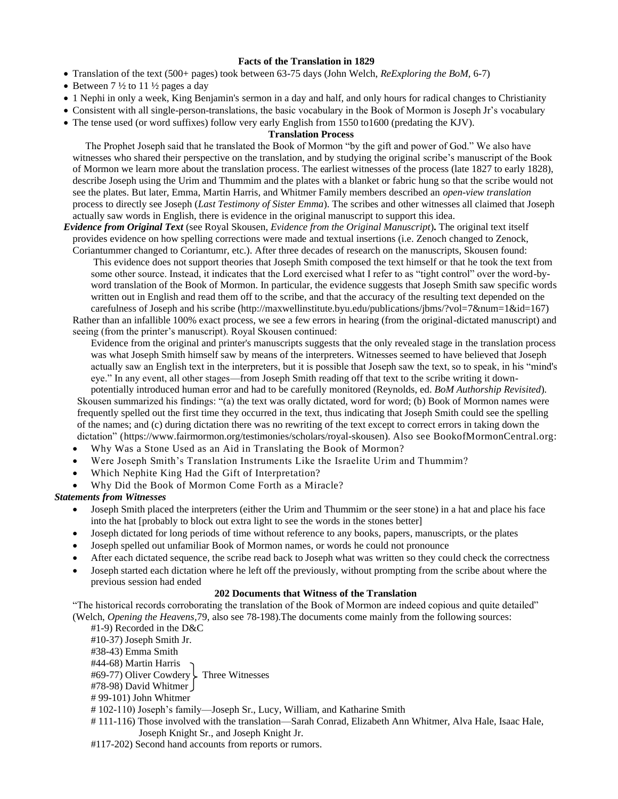## **Facts of the Translation in 1829**

- Translation of the text (500+ pages) took between 63-75 days (John Welch, *ReExploring the BoM,* 6-7)
- Between  $7\frac{1}{2}$  to  $11\frac{1}{2}$  pages a day
- 1 Nephi in only a week, King Benjamin's sermon in a day and half, and only hours for radical changes to Christianity
- Consistent with all single-person-translations, the basic vocabulary in the Book of Mormon is Joseph Jr's vocabulary
- The tense used (or word suffixes) follow very early English from 1550 to1600 (predating the KJV).

## **Translation Process**

 The Prophet Joseph said that he translated the Book of Mormon "by the gift and power of God." We also have witnesses who shared their perspective on the translation, and by studying the original scribe's manuscript of the Book of Mormon we learn more about the translation process. The earliest witnesses of the process (late 1827 to early 1828), describe Joseph using the Urim and Thummim and the plates with a blanket or fabric hung so that the scribe would not see the plates. But later, Emma, Martin Harris, and Whitmer Family members described an *open-view translation* process to directly see Joseph (*Last Testimony of Sister Emma*). The scribes and other witnesses all claimed that Joseph actually saw words in English, there is evidence in the original manuscript to support this idea.

*Evidence from Original Text* (see Royal Skousen, *Evidence from the Original Manuscript*)**.** The original text itself provides evidence on how spelling corrections were made and textual insertions (i.e. Zenoch changed to Zenock, Coriantummer changed to Coriantumr, etc.). After three decades of research on the manuscripts, Skousen found:

This evidence does not support theories that Joseph Smith composed the text himself or that he took the text from some other source. Instead, it indicates that the Lord exercised what I refer to as "tight control" over the word-byword translation of the Book of Mormon. In particular, the evidence suggests that Joseph Smith saw specific words written out in English and read them off to the scribe, and that the accuracy of the resulting text depended on the carefulness of Joseph and his scribe (http://maxwellinstitute.byu.edu/publications/jbms/?vol=7&num=1&id=167) Rather than an infallible 100% exact process, we see a few errors in hearing (from the original-dictated manuscript) and seeing (from the printer's manuscript). Royal Skousen continued:

Evidence from the original and printer's manuscripts suggests that the only revealed stage in the translation process was what Joseph Smith himself saw by means of the interpreters. Witnesses seemed to have believed that Joseph actually saw an English text in the interpreters, but it is possible that Joseph saw the text, so to speak, in his "mind's eye." In any event, all other stages—from Joseph Smith reading off that text to the scribe writing it down-

potentially introduced human error and had to be carefully monitored (Reynolds, ed. *BoM Authorship Revisited*). Skousen summarized his findings: "(a) the text was orally dictated, word for word; (b) Book of Mormon names were frequently spelled out the first time they occurred in the text, thus indicating that Joseph Smith could see the spelling of the names; and (c) during dictation there was no rewriting of the text except to correct errors in taking down the dictation" [\(https://www.fairmormon.org/testimonies/scholars/royal-skousen\)](https://www.fairmormon.org/testimonies/scholars/royal-skousen). Also see BookofMormonCentral.org:

- [Why Was a Stone Used as an Aid in Translating the Book of Mormon?](https://knowhy.bookofmormoncentral.org/content/why-was-a-stone-used-as-an-aid-in-translating-the-book-of-mormon)
- [Were Joseph Smith's Translation Instruments Like the Israelite Urim and Thummim?](https://knowhy.bookofmormoncentral.org/content/were-joseph-smiths-translation-instruments-like-the-israelite-urim-and-thummim)
- [Which Nephite King Had the Gift of Interpretation?](https://knowhy.bookofmormoncentral.org/content/which-nephite-king-had-the-gift-of-interpretation)

• [Why Did the Book of Mormon Come Forth as a Miracle?](https://knowhy.bookofmormoncentral.org/content/why-did-the-book-of-mormon-come-forth-as-a-miracle)

# *Statements from Witnesses*

- Joseph Smith placed the interpreters (either the Urim and Thummim or the seer stone) in a hat and place his face into the hat [probably to block out extra light to see the words in the stones better]
- Joseph dictated for long periods of time without reference to any books, papers, manuscripts, or the plates
- Joseph spelled out unfamiliar Book of Mormon names, or words he could not pronounce
- After each dictated sequence, the scribe read back to Joseph what was written so they could check the correctness
- Joseph started each dictation where he left off the previously, without prompting from the scribe about where the previous session had ended

### **202 Documents that Witness of the Translation**

"The historical records corroborating the translation of the Book of Mormon are indeed copious and quite detailed" (Welch, *Opening the Heavens,*79, also see 78-198).The documents come mainly from the following sources:

#1-9) Recorded in the D&C

#10-37) Joseph Smith Jr.

#38-43) Emma Smith

#44-68) Martin Harris

#69-77) Oliver Cowdery > Three Witnesses

#78-98) David Whitmer

- # 99-101) John Whitmer
- # 102-110) Joseph's family—Joseph Sr., Lucy, William, and Katharine Smith
- # 111-116) Those involved with the translation—Sarah Conrad, Elizabeth Ann Whitmer, Alva Hale, Isaac Hale, Joseph Knight Sr., and Joseph Knight Jr.
- #117-202) Second hand accounts from reports or rumors.